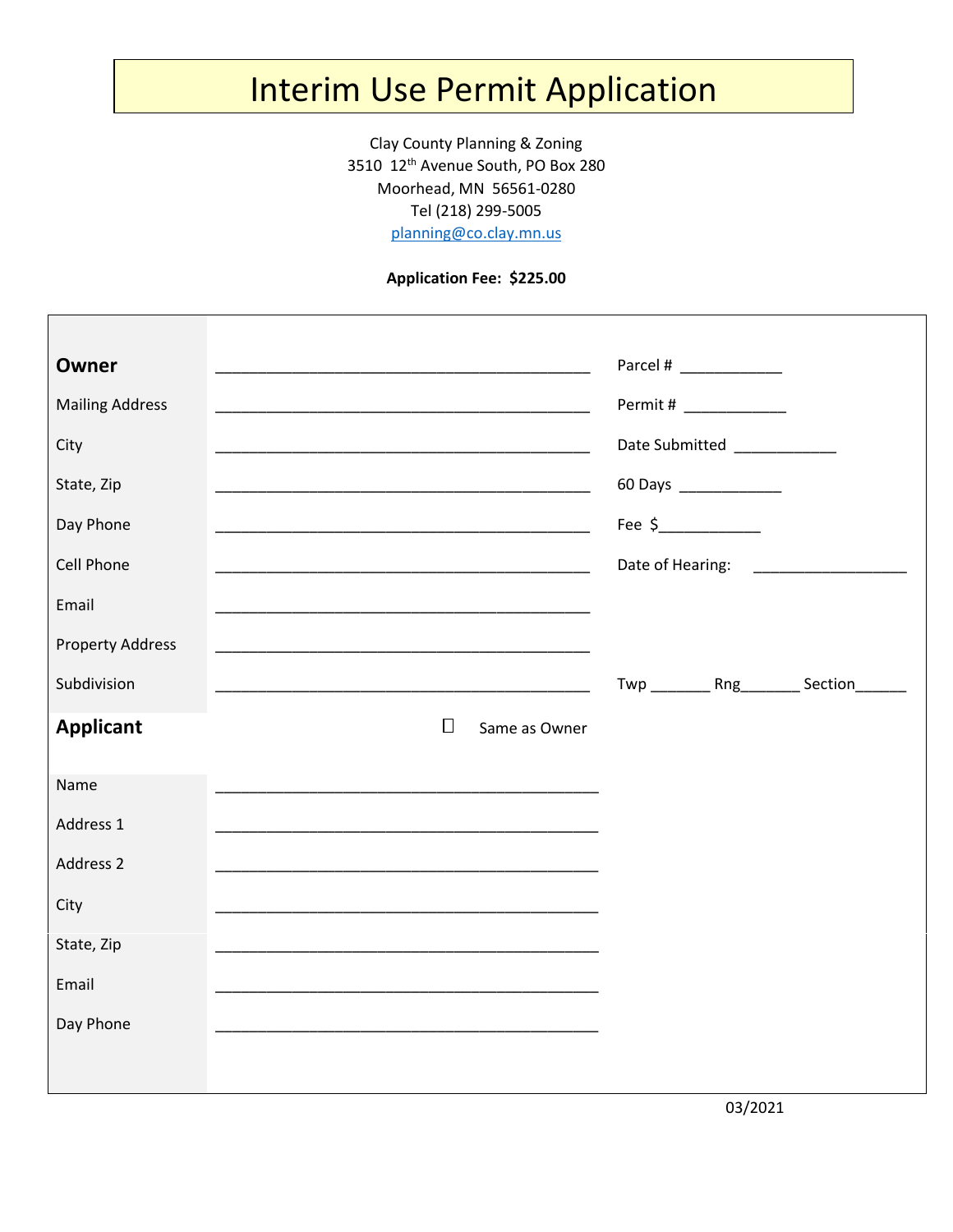## Interim Use Permit Application

Clay County Planning & Zoning 3510 12th Avenue South, PO Box 280 Moorhead, MN 56561-0280 Tel (218) 299-5005

[planning@co.clay.mn.us](mailto:planning@co.clay.mn.us)

## **Application Fee: \$225.00**

| <b>Owner</b><br><b>Mailing Address</b><br>City<br>State, Zip<br>Day Phone<br><b>Cell Phone</b><br>Email |        |               | Parcel # ____________<br>Permit # ____________<br>Date Submitted<br><u>Date</u> Submitted<br>60 Days ______________<br>Fee $$$ |                                            |
|---------------------------------------------------------------------------------------------------------|--------|---------------|--------------------------------------------------------------------------------------------------------------------------------|--------------------------------------------|
| <b>Property Address</b><br>Subdivision<br><b>Applicant</b>                                              | $\Box$ | Same as Owner |                                                                                                                                | Twp __________ Rng_________ Section_______ |
| Name<br>Address 1<br>Address 2<br>City<br>State, Zip<br>Email<br>Day Phone                              |        |               |                                                                                                                                |                                            |